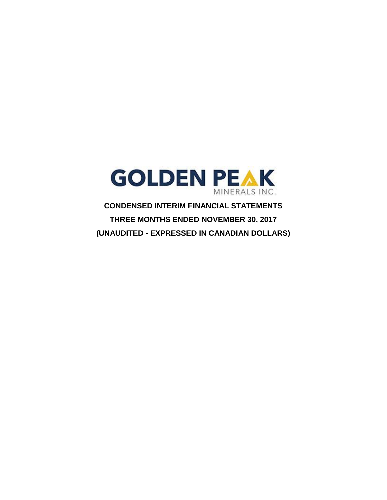

**CONDENSED INTERIM FINANCIAL STATEMENTS THREE MONTHS ENDED NOVEMBER 30, 2017 (UNAUDITED - EXPRESSED IN CANADIAN DOLLARS)**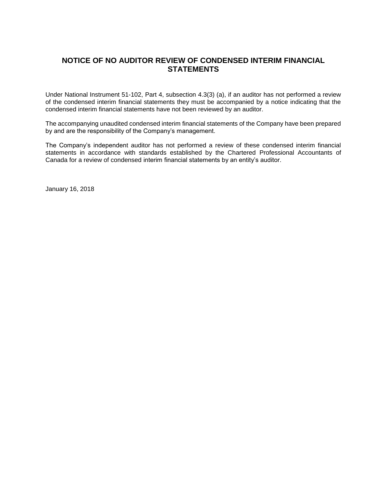# **NOTICE OF NO AUDITOR REVIEW OF CONDENSED INTERIM FINANCIAL STATEMENTS**

Under National Instrument 51-102, Part 4, subsection 4.3(3) (a), if an auditor has not performed a review of the condensed interim financial statements they must be accompanied by a notice indicating that the condensed interim financial statements have not been reviewed by an auditor.

The accompanying unaudited condensed interim financial statements of the Company have been prepared by and are the responsibility of the Company's management.

The Company's independent auditor has not performed a review of these condensed interim financial statements in accordance with standards established by the Chartered Professional Accountants of Canada for a review of condensed interim financial statements by an entity's auditor.

January 16, 2018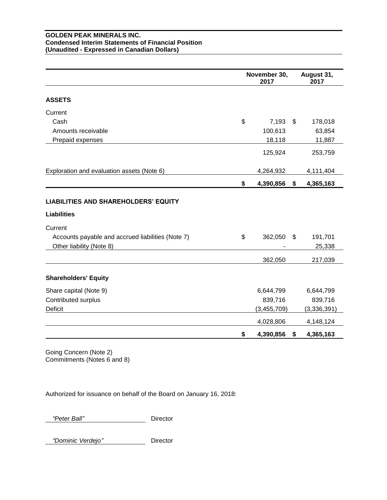#### **GOLDEN PEAK MINERALS INC. Condensed Interim Statements of Financial Position (Unaudited - Expressed in Canadian Dollars)**

|                                                                               | November 30,<br>2017 |      | August 31,<br>2017 |
|-------------------------------------------------------------------------------|----------------------|------|--------------------|
| <b>ASSETS</b>                                                                 |                      |      |                    |
| Current                                                                       |                      |      |                    |
| Cash                                                                          | \$<br>$7,193$ \$     |      | 178,018            |
| Amounts receivable                                                            | 100,613              |      | 63,854             |
| Prepaid expenses                                                              | 18,118               |      | 11,887             |
|                                                                               | 125,924              |      | 253,759            |
| Exploration and evaluation assets (Note 6)                                    | 4,264,932            |      | 4,111,404          |
|                                                                               | \$<br>4,390,856      | \$   | 4,365,163          |
| <b>LIABILITIES AND SHAREHOLDERS' EQUITY</b><br><b>Liabilities</b>             |                      |      |                    |
|                                                                               |                      |      |                    |
| Current                                                                       | \$<br>362,050        | - \$ |                    |
| Accounts payable and accrued liabilities (Note 7)<br>Other liability (Note 8) |                      |      | 191,701<br>25,338  |
|                                                                               | 362,050              |      | 217,039            |
| <b>Shareholders' Equity</b>                                                   |                      |      |                    |
| Share capital (Note 9)                                                        | 6,644,799            |      | 6,644,799          |
| Contributed surplus                                                           | 839,716              |      | 839,716            |
| Deficit                                                                       | (3,455,709)          |      | (3,336,391)        |
|                                                                               | 4,028,806            |      | 4,148,124          |
|                                                                               | \$<br>4,390,856      | \$   | 4,365,163          |

Going Concern (Note 2) Commitments (Notes 6 and 8)

Authorized for issuance on behalf of the Board on January 16, 2018:

 *"Peter Ball"* Director

 *"Dominic Verdejo"* Director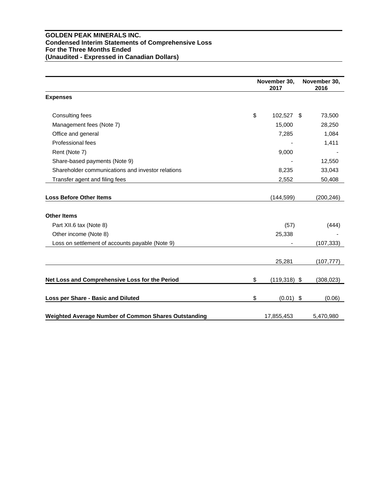#### **GOLDEN PEAK MINERALS INC. Condensed Interim Statements of Comprehensive Loss For the Three Months Ended (Unaudited - Expressed in Canadian Dollars)**

|                                                      | November 30,<br>2017  | November 30,<br>2016 |
|------------------------------------------------------|-----------------------|----------------------|
| <b>Expenses</b>                                      |                       |                      |
| Consulting fees                                      | \$<br>102,527 \$      | 73,500               |
| Management fees (Note 7)                             | 15,000                | 28,250               |
| Office and general                                   | 7,285                 | 1,084                |
| Professional fees                                    |                       | 1,411                |
| Rent (Note 7)                                        | 9,000                 |                      |
| Share-based payments (Note 9)                        |                       | 12,550               |
| Shareholder communications and investor relations    | 8,235                 | 33,043               |
| Transfer agent and filing fees                       | 2,552                 | 50,408               |
| <b>Loss Before Other Items</b>                       | (144, 599)            | (200, 246)           |
| <b>Other Items</b>                                   |                       |                      |
| Part XII.6 tax (Note 8)                              | (57)                  | (444)                |
| Other income (Note 8)                                | 25,338                |                      |
| Loss on settlement of accounts payable (Note 9)      |                       | (107, 333)           |
|                                                      | 25,281                | (107, 777)           |
| Net Loss and Comprehensive Loss for the Period       | \$<br>$(119, 318)$ \$ | (308, 023)           |
| Loss per Share - Basic and Diluted                   | \$<br>$(0.01)$ \$     | (0.06)               |
| Weighted Average Number of Common Shares Outstanding | 17,855,453            | 5,470,980            |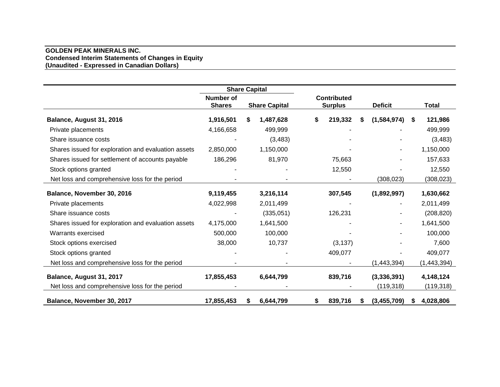#### **GOLDEN PEAK MINERALS INC. Condensed Interim Statements of Changes in Equity (Unaudited - Expressed in Canadian Dollars)**

|                                                     | <b>Share Capital</b>              |    |                      |                                      |   |                |      |              |
|-----------------------------------------------------|-----------------------------------|----|----------------------|--------------------------------------|---|----------------|------|--------------|
|                                                     | <b>Number of</b><br><b>Shares</b> |    | <b>Share Capital</b> | <b>Contributed</b><br><b>Surplus</b> |   | <b>Deficit</b> |      | <b>Total</b> |
| Balance, August 31, 2016                            | 1,916,501                         |    | 1,487,628            | \$<br>219,332                        | S | (1,584,974)    | - \$ | 121,986      |
| Private placements                                  | 4,166,658                         |    | 499,999              |                                      |   |                |      | 499,999      |
| Share issuance costs                                |                                   |    | (3,483)              |                                      |   |                |      | (3, 483)     |
| Shares issued for exploration and evaluation assets | 2,850,000                         |    | 1,150,000            |                                      |   |                |      | 1,150,000    |
| Shares issued for settlement of accounts payable    | 186,296                           |    | 81,970               | 75,663                               |   |                |      | 157,633      |
| Stock options granted                               |                                   |    |                      | 12,550                               |   |                |      | 12,550       |
| Net loss and comprehensive loss for the period      |                                   |    |                      |                                      |   | (308, 023)     |      | (308, 023)   |
| Balance, November 30, 2016                          | 9,119,455                         |    | 3,216,114            | 307,545                              |   | (1,892,997)    |      | 1,630,662    |
| Private placements                                  | 4,022,998                         |    | 2,011,499            |                                      |   |                |      | 2,011,499    |
| Share issuance costs                                |                                   |    | (335,051)            | 126,231                              |   |                |      | (208, 820)   |
| Shares issued for exploration and evaluation assets | 4,175,000                         |    | 1,641,500            |                                      |   |                |      | 1,641,500    |
| Warrants exercised                                  | 500,000                           |    | 100,000              |                                      |   |                |      | 100,000      |
| Stock options exercised                             | 38,000                            |    | 10,737               | (3, 137)                             |   |                |      | 7,600        |
| Stock options granted                               |                                   |    |                      | 409,077                              |   |                |      | 409,077      |
| Net loss and comprehensive loss for the period      |                                   |    |                      |                                      |   | (1,443,394)    |      | (1,443,394)  |
| Balance, August 31, 2017                            | 17,855,453                        |    | 6,644,799            | 839,716                              |   | (3,336,391)    |      | 4,148,124    |
| Net loss and comprehensive loss for the period      |                                   |    |                      |                                      |   | (119, 318)     |      | (119, 318)   |
| Balance, November 30, 2017                          | 17,855,453                        | S. | 6,644,799            | 839,716                              |   | (3,455,709)    | S.   | 4,028,806    |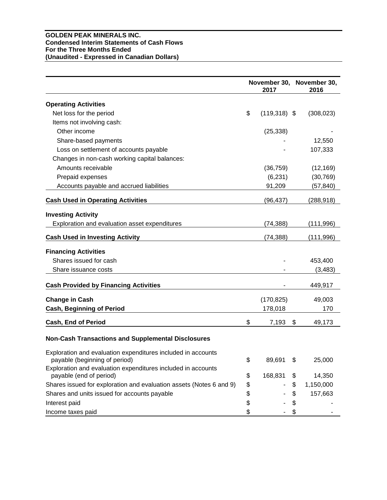#### **GOLDEN PEAK MINERALS INC. Condensed Interim Statements of Cash Flows For the Three Months Ended (Unaudited - Expressed in Canadian Dollars)**

|                                                                                               |    | 2017           | November 30, November 30,<br>2016 |
|-----------------------------------------------------------------------------------------------|----|----------------|-----------------------------------|
| <b>Operating Activities</b>                                                                   |    |                |                                   |
| Net loss for the period                                                                       | \$ | $(119,318)$ \$ | (308, 023)                        |
| Items not involving cash:                                                                     |    |                |                                   |
| Other income                                                                                  |    | (25, 338)      |                                   |
| Share-based payments                                                                          |    |                | 12,550                            |
| Loss on settlement of accounts payable                                                        |    |                | 107,333                           |
| Changes in non-cash working capital balances:                                                 |    |                |                                   |
| Amounts receivable                                                                            |    | (36, 759)      | (12, 169)                         |
| Prepaid expenses                                                                              |    | (6, 231)       | (30, 769)                         |
| Accounts payable and accrued liabilities                                                      |    | 91,209         | (57,840)                          |
| <b>Cash Used in Operating Activities</b>                                                      |    | (96, 437)      | (288, 918)                        |
| <b>Investing Activity</b>                                                                     |    |                |                                   |
| Exploration and evaluation asset expenditures                                                 |    | (74, 388)      | (111,996)                         |
| <b>Cash Used in Investing Activity</b>                                                        |    | (74, 388)      | (111, 996)                        |
| <b>Financing Activities</b>                                                                   |    |                |                                   |
| Shares issued for cash                                                                        |    |                | 453,400                           |
| Share issuance costs                                                                          |    |                | (3, 483)                          |
| <b>Cash Provided by Financing Activities</b>                                                  |    |                | 449,917                           |
| <b>Change in Cash</b>                                                                         |    | (170, 825)     | 49,003                            |
| <b>Cash, Beginning of Period</b>                                                              |    | 178,018        | 170                               |
| <b>Cash, End of Period</b>                                                                    | \$ | 7,193          | \$<br>49,173                      |
| <b>Non-Cash Transactions and Supplemental Disclosures</b>                                     |    |                |                                   |
| Exploration and evaluation expenditures included in accounts<br>payable (beginning of period) | Φ  | 89,691         | \$<br>25,000                      |
| Exploration and evaluation expenditures included in accounts<br>payable (end of period)       | \$ | 168,831        | \$<br>14,350                      |
| Shares issued for exploration and evaluation assets (Notes 6 and 9)                           | \$ |                | \$<br>1,150,000                   |
| Shares and units issued for accounts payable                                                  | \$ |                | \$<br>157,663                     |
| Interest paid                                                                                 | \$ |                | \$                                |
| Income taxes paid                                                                             | \$ |                | \$                                |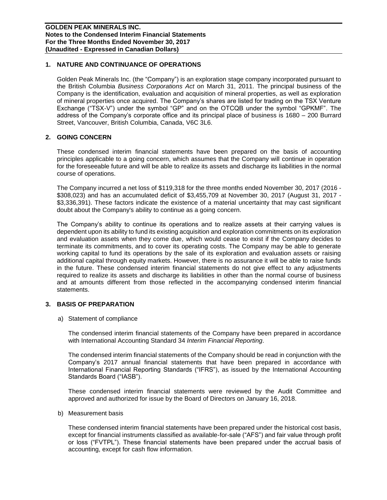# **1. NATURE AND CONTINUANCE OF OPERATIONS**

Golden Peak Minerals Inc. (the "Company") is an exploration stage company incorporated pursuant to the British Columbia *Business Corporations Act* on March 31, 2011. The principal business of the Company is the identification, evaluation and acquisition of mineral properties, as well as exploration of mineral properties once acquired. The Company's shares are listed for trading on the TSX Venture Exchange ("TSX-V") under the symbol "GP" and on the OTCQB under the symbol "GPKMF". The address of the Company's corporate office and its principal place of business is 1680 – 200 Burrard Street, Vancouver, British Columbia, Canada, V6C 3L6.

#### **2. GOING CONCERN**

These condensed interim financial statements have been prepared on the basis of accounting principles applicable to a going concern, which assumes that the Company will continue in operation for the foreseeable future and will be able to realize its assets and discharge its liabilities in the normal course of operations.

The Company incurred a net loss of \$119,318 for the three months ended November 30, 2017 (2016 - \$308,023) and has an accumulated deficit of \$3,455,709 at November 30, 2017 (August 31, 2017 - \$3,336,391). These factors indicate the existence of a material uncertainty that may cast significant doubt about the Company's ability to continue as a going concern.

The Company's ability to continue its operations and to realize assets at their carrying values is dependent upon its ability to fund its existing acquisition and exploration commitments on its exploration and evaluation assets when they come due, which would cease to exist if the Company decides to terminate its commitments, and to cover its operating costs. The Company may be able to generate working capital to fund its operations by the sale of its exploration and evaluation assets or raising additional capital through equity markets. However, there is no assurance it will be able to raise funds in the future. These condensed interim financial statements do not give effect to any adjustments required to realize its assets and discharge its liabilities in other than the normal course of business and at amounts different from those reflected in the accompanying condensed interim financial statements.

#### **3. BASIS OF PREPARATION**

a) Statement of compliance

The condensed interim financial statements of the Company have been prepared in accordance with International Accounting Standard 34 *Interim Financial Reporting*.

The condensed interim financial statements of the Company should be read in conjunction with the Company's 2017 annual financial statements that have been prepared in accordance with International Financial Reporting Standards ("IFRS"), as issued by the International Accounting Standards Board ("IASB").

These condensed interim financial statements were reviewed by the Audit Committee and approved and authorized for issue by the Board of Directors on January 16, 2018.

b) Measurement basis

These condensed interim financial statements have been prepared under the historical cost basis, except for financial instruments classified as available-for-sale ("AFS") and fair value through profit or loss ("FVTPL"). These financial statements have been prepared under the accrual basis of accounting, except for cash flow information.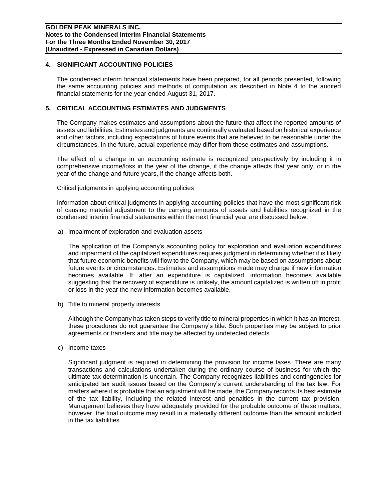#### **4. SIGNIFICANT ACCOUNTING POLICIES**

The condensed interim financial statements have been prepared, for all periods presented, following the same accounting policies and methods of computation as described in Note 4 to the audited financial statements for the year ended August 31, 2017.

# **5. CRITICAL ACCOUNTING ESTIMATES AND JUDGMENTS**

The Company makes estimates and assumptions about the future that affect the reported amounts of assets and liabilities. Estimates and judgments are continually evaluated based on historical experience and other factors, including expectations of future events that are believed to be reasonable under the circumstances. In the future, actual experience may differ from these estimates and assumptions.

The effect of a change in an accounting estimate is recognized prospectively by including it in comprehensive income/loss in the year of the change, if the change affects that year only, or in the year of the change and future years, if the change affects both.

#### Critical judgments in applying accounting policies

Information about critical judgments in applying accounting policies that have the most significant risk of causing material adjustment to the carrying amounts of assets and liabilities recognized in the condensed interim financial statements within the next financial year are discussed below.

a) Impairment of exploration and evaluation assets

The application of the Company's accounting policy for exploration and evaluation expenditures and impairment of the capitalized expenditures requires judgment in determining whether it is likely that future economic benefits will flow to the Company, which may be based on assumptions about future events or circumstances. Estimates and assumptions made may change if new information becomes available. If, after an expenditure is capitalized, information becomes available suggesting that the recovery of expenditure is unlikely, the amount capitalized is written off in profit or loss in the year the new information becomes available.

b) Title to mineral property interests

Although the Company has taken steps to verify title to mineral properties in which it has an interest, these procedures do not guarantee the Company's title. Such properties may be subject to prior agreements or transfers and title may be affected by undetected defects.

c) Income taxes

Significant judgment is required in determining the provision for income taxes. There are many transactions and calculations undertaken during the ordinary course of business for which the ultimate tax determination is uncertain. The Company recognizes liabilities and contingencies for anticipated tax audit issues based on the Company's current understanding of the tax law. For matters where it is probable that an adjustment will be made, the Company records its best estimate of the tax liability, including the related interest and penalties in the current tax provision. Management believes they have adequately provided for the probable outcome of these matters; however, the final outcome may result in a materially different outcome than the amount included in the tax liabilities.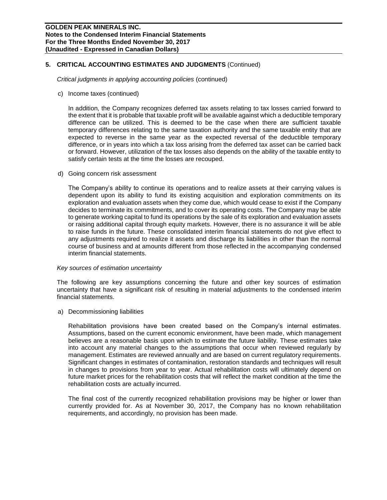# **5. CRITICAL ACCOUNTING ESTIMATES AND JUDGMENTS** (Continued)

*Critical judgments in applying accounting policies* (continued)

c) Income taxes (continued)

In addition, the Company recognizes deferred tax assets relating to tax losses carried forward to the extent that it is probable that taxable profit will be available against which a deductible temporary difference can be utilized. This is deemed to be the case when there are sufficient taxable temporary differences relating to the same taxation authority and the same taxable entity that are expected to reverse in the same year as the expected reversal of the deductible temporary difference, or in years into which a tax loss arising from the deferred tax asset can be carried back or forward. However, utilization of the tax losses also depends on the ability of the taxable entity to satisfy certain tests at the time the losses are recouped.

d) Going concern risk assessment

The Company's ability to continue its operations and to realize assets at their carrying values is dependent upon its ability to fund its existing acquisition and exploration commitments on its exploration and evaluation assets when they come due, which would cease to exist if the Company decides to terminate its commitments, and to cover its operating costs. The Company may be able to generate working capital to fund its operations by the sale of its exploration and evaluation assets or raising additional capital through equity markets. However, there is no assurance it will be able to raise funds in the future. These consolidated interim financial statements do not give effect to any adjustments required to realize it assets and discharge its liabilities in other than the normal course of business and at amounts different from those reflected in the accompanying condensed interim financial statements.

#### *Key sources of estimation uncertainty*

The following are key assumptions concerning the future and other key sources of estimation uncertainty that have a significant risk of resulting in material adjustments to the condensed interim financial statements.

a) Decommissioning liabilities

Rehabilitation provisions have been created based on the Company's internal estimates. Assumptions, based on the current economic environment, have been made, which management believes are a reasonable basis upon which to estimate the future liability. These estimates take into account any material changes to the assumptions that occur when reviewed regularly by management. Estimates are reviewed annually and are based on current regulatory requirements. Significant changes in estimates of contamination, restoration standards and techniques will result in changes to provisions from year to year. Actual rehabilitation costs will ultimately depend on future market prices for the rehabilitation costs that will reflect the market condition at the time the rehabilitation costs are actually incurred.

The final cost of the currently recognized rehabilitation provisions may be higher or lower than currently provided for. As at November 30, 2017, the Company has no known rehabilitation requirements, and accordingly, no provision has been made.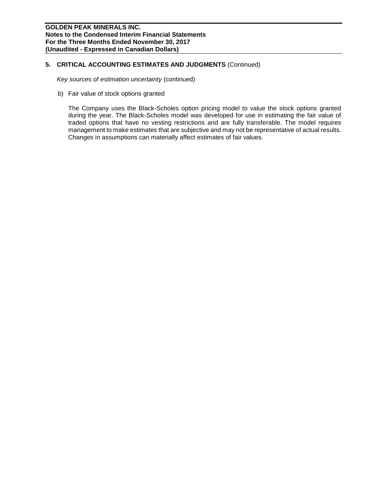# **5. CRITICAL ACCOUNTING ESTIMATES AND JUDGMENTS** (Continued)

*Key sources of estimation uncertainty* (continued)

b) Fair value of stock options granted

The Company uses the Black-Scholes option pricing model to value the stock options granted during the year. The Black-Scholes model was developed for use in estimating the fair value of traded options that have no vesting restrictions and are fully transferable. The model requires management to make estimates that are subjective and may not be representative of actual results. Changes in assumptions can materially affect estimates of fair values.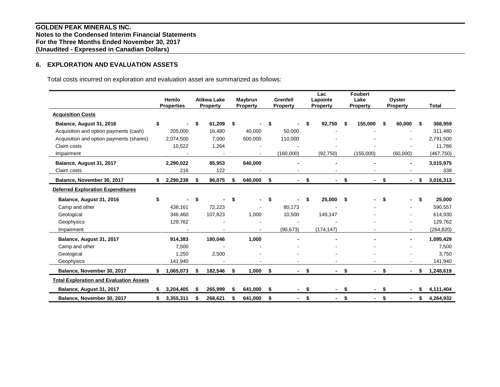# **6. EXPLORATION AND EVALUATION ASSETS**

Total costs incurred on exploration and evaluation asset are summarized as follows:

|                                                | Hemlo<br><b>Properties</b> |    | <b>Atikwa Lake</b><br><b>Property</b> |    | Maybrun<br>Property | Grenfell<br><b>Property</b> |    | Lac<br>Lapointe<br><b>Property</b> |     | <b>Foubert</b><br>Lake<br><b>Property</b> |    | Oyster<br><b>Property</b> |    | <b>Total</b> |
|------------------------------------------------|----------------------------|----|---------------------------------------|----|---------------------|-----------------------------|----|------------------------------------|-----|-------------------------------------------|----|---------------------------|----|--------------|
| <b>Acquisition Costs</b>                       |                            |    |                                       |    |                     |                             |    |                                    |     |                                           |    |                           |    |              |
| Balance, August 31, 2016                       | \$                         | \$ | 61,209                                | \$ |                     | \$                          | \$ | 92.750                             | Ŝ.  | 155.000                                   | S. | 60.000                    | S  | 368,959      |
| Acquisition and option payments (cash)         | 205,000                    |    | 16,480                                |    | 40,000              | 50,000                      |    |                                    |     |                                           |    |                           |    | 311,480      |
| Acquisition and option payments (shares)       | 2,074,500                  |    | 7,000                                 |    | 600,000             | 110,000                     |    |                                    |     |                                           |    |                           |    | 2,791,500    |
| Claim costs                                    | 10,522                     |    | 1,264                                 |    |                     |                             |    |                                    |     |                                           |    |                           |    | 11,786       |
| Impairment                                     |                            |    |                                       |    |                     | (160,000)                   |    | (92, 750)                          |     | (155,000)                                 |    | (60,000)                  |    | (467, 750)   |
| Balance, August 31, 2017                       | 2,290,022                  |    | 85,953                                |    | 640,000             |                             |    |                                    |     |                                           |    |                           |    | 3,015,975    |
| Claim costs                                    | 216                        |    | 122                                   |    |                     |                             |    |                                    |     |                                           |    |                           |    | 338          |
| Balance, November 30, 2017                     | \$<br>2,290,238            | \$ | 86,075                                | \$ | 640,000             | \$                          | \$ |                                    | \$  |                                           | \$ |                           | S  | 3,016,313    |
| <b>Deferred Exploration Expenditures</b>       |                            |    |                                       |    |                     |                             |    |                                    |     |                                           |    |                           |    |              |
| Balance, August 31, 2016                       | \$                         | \$ |                                       | \$ | $\blacksquare$      | \$                          | £. | 25,000                             | -\$ |                                           | \$ | ۰.                        | \$ | 25,000       |
| Camp and other                                 | 438,161                    |    | 72,223                                |    |                     | 80.173                      |    |                                    |     |                                           |    |                           |    | 590,557      |
| Geological                                     | 346,460                    |    | 107,823                               |    | 1,000               | 10,500                      |    | 149,147                            |     |                                           |    |                           |    | 614,930      |
| Geophysics                                     | 129,762                    |    |                                       |    |                     |                             |    |                                    |     |                                           |    |                           |    | 129,762      |
| Impairment                                     |                            |    |                                       |    |                     | (90, 673)                   |    | (174, 147)                         |     |                                           |    |                           |    | (264, 820)   |
| Balance, August 31, 2017                       | 914,383                    |    | 180,046                               |    | 1.000               |                             |    |                                    |     |                                           |    |                           |    | 1,095,429    |
| Camp and other                                 | 7,500                      |    |                                       |    |                     |                             |    |                                    |     |                                           |    |                           |    | 7,500        |
| Geological                                     | 1,250                      |    | 2,500                                 |    |                     |                             |    |                                    |     |                                           |    |                           |    | 3,750        |
| Geophysics                                     | 141,940                    |    |                                       |    |                     |                             |    |                                    |     |                                           |    |                           |    | 141,940      |
| Balance, November 30, 2017                     | 1,065,073                  | \$ | 182,546                               | \$ | 1,000               | \$<br>Ξ.                    | \$ | $\overline{\phantom{0}}$           | \$  |                                           | \$ |                           | S. | 1,248,619    |
| <b>Total Exploration and Evaluation Assets</b> |                            |    |                                       |    |                     |                             |    |                                    |     |                                           |    |                           |    |              |
| Balance, August 31, 2017                       | \$<br>3,204,405            | S  | 265,999                               | S  | 641,000             | \$                          | \$ |                                    | \$  |                                           | \$ |                           | S  | 4,111,404    |
| Balance, November 30, 2017                     | \$<br>3,355,311            | S  | 268,621                               | S  | 641,000             | \$                          | \$ |                                    | \$  |                                           | \$ |                           | S  | 4,264,932    |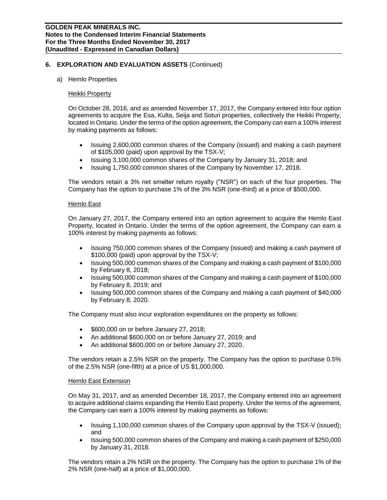#### a) Hemlo Properties

#### Heikki Property

On October 28, 2016, and as amended November 17, 2017, the Company entered into four option agreements to acquire the Esa, Kulta, Seija and Soturi properties, collectively the Heikki Property, located in Ontario. Under the terms of the option agreement, the Company can earn a 100% interest by making payments as follows:

- Issuing 2,600,000 common shares of the Company (issued) and making a cash payment of \$105,000 (paid) upon approval by the TSX-V;
- Issuing 3,100,000 common shares of the Company by January 31, 2018; and
- Issuing 1,750,000 common shares of the Company by November 17, 2018.

The vendors retain a 3% net smelter return royalty ("NSR") on each of the four properties. The Company has the option to purchase 1% of the 3% NSR (one-third) at a price of \$500,000.

#### Hemlo East

On January 27, 2017, the Company entered into an option agreement to acquire the Hemlo East Property, located in Ontario. Under the terms of the option agreement, the Company can earn a 100% interest by making payments as follows:

- Issuing 750,000 common shares of the Company (issued) and making a cash payment of \$100,000 (paid) upon approval by the TSX-V;
- Issuing 500,000 common shares of the Company and making a cash payment of \$100,000 by February 8, 2018;
- Issuing 500,000 common shares of the Company and making a cash payment of \$100,000 by February 8, 2019; and
- Issuing 500,000 common shares of the Company and making a cash payment of \$40,000 by February 8, 2020.

The Company must also incur exploration expenditures on the property as follows:

- \$600,000 on or before January 27, 2018;
- An additional \$600,000 on or before January 27, 2019; and
- An additional \$600,000 on or before January 27, 2020.

The vendors retain a 2.5% NSR on the property. The Company has the option to purchase 0.5% of the 2.5% NSR (one-fifth) at a price of US \$1,000,000.

#### Hemlo East Extension

On May 31, 2017, and as amended December 18, 2017, the Company entered into an agreement to acquire additional claims expanding the Hemlo East property. Under the terms of the agreement, the Company can earn a 100% interest by making payments as follows:

- Issuing 1,100,000 common shares of the Company upon approval by the TSX-V (issued); and
- Issuing 500,000 common shares of the Company and making a cash payment of \$250,000 by January 31, 2018.

The vendors retain a 2% NSR on the property. The Company has the option to purchase 1% of the 2% NSR (one-half) at a price of \$1,000,000.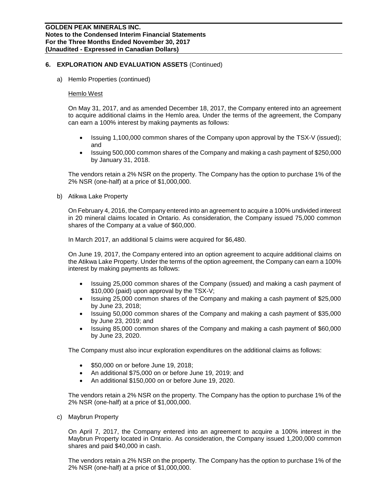a) Hemlo Properties (continued)

#### Hemlo West

On May 31, 2017, and as amended December 18, 2017, the Company entered into an agreement to acquire additional claims in the Hemlo area. Under the terms of the agreement, the Company can earn a 100% interest by making payments as follows:

- Issuing 1,100,000 common shares of the Company upon approval by the TSX-V (issued); and
- Issuing 500,000 common shares of the Company and making a cash payment of \$250,000 by January 31, 2018.

The vendors retain a 2% NSR on the property. The Company has the option to purchase 1% of the 2% NSR (one-half) at a price of \$1,000,000.

b) Atikwa Lake Property

On February 4, 2016, the Company entered into an agreement to acquire a 100% undivided interest in 20 mineral claims located in Ontario. As consideration, the Company issued 75,000 common shares of the Company at a value of \$60,000.

In March 2017, an additional 5 claims were acquired for \$6,480.

On June 19, 2017, the Company entered into an option agreement to acquire additional claims on the Atikwa Lake Property. Under the terms of the option agreement, the Company can earn a 100% interest by making payments as follows:

- Issuing 25,000 common shares of the Company (issued) and making a cash payment of \$10,000 (paid) upon approval by the TSX-V;
- Issuing 25,000 common shares of the Company and making a cash payment of \$25,000 by June 23, 2018;
- Issuing 50,000 common shares of the Company and making a cash payment of \$35,000 by June 23, 2019; and
- Issuing 85,000 common shares of the Company and making a cash payment of \$60,000 by June 23, 2020.

The Company must also incur exploration expenditures on the additional claims as follows:

- \$50,000 on or before June 19, 2018;
- An additional \$75,000 on or before June 19, 2019; and
- An additional \$150,000 on or before June 19, 2020.

The vendors retain a 2% NSR on the property. The Company has the option to purchase 1% of the 2% NSR (one-half) at a price of \$1,000,000.

c) Maybrun Property

On April 7, 2017, the Company entered into an agreement to acquire a 100% interest in the Maybrun Property located in Ontario. As consideration, the Company issued 1,200,000 common shares and paid \$40,000 in cash.

The vendors retain a 2% NSR on the property. The Company has the option to purchase 1% of the 2% NSR (one-half) at a price of \$1,000,000.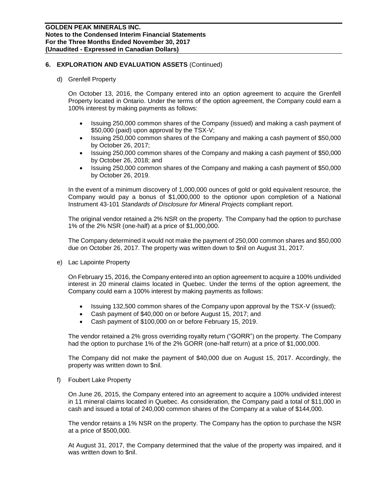#### d) Grenfell Property

On October 13, 2016, the Company entered into an option agreement to acquire the Grenfell Property located in Ontario. Under the terms of the option agreement, the Company could earn a 100% interest by making payments as follows:

- Issuing 250,000 common shares of the Company (issued) and making a cash payment of \$50,000 (paid) upon approval by the TSX-V;
- Issuing 250,000 common shares of the Company and making a cash payment of \$50,000 by October 26, 2017;
- Issuing 250,000 common shares of the Company and making a cash payment of \$50,000 by October 26, 2018; and
- Issuing 250,000 common shares of the Company and making a cash payment of \$50,000 by October 26, 2019.

In the event of a minimum discovery of 1,000,000 ounces of gold or gold equivalent resource, the Company would pay a bonus of \$1,000,000 to the optionor upon completion of a National Instrument 43-101 *Standards of Disclosure for Mineral Projects* compliant report.

The original vendor retained a 2% NSR on the property. The Company had the option to purchase 1% of the 2% NSR (one-half) at a price of \$1,000,000.

The Company determined it would not make the payment of 250,000 common shares and \$50,000 due on October 26, 2017. The property was written down to \$nil on August 31, 2017.

e) Lac Lapointe Property

On February 15, 2016, the Company entered into an option agreement to acquire a 100% undivided interest in 20 mineral claims located in Quebec. Under the terms of the option agreement, the Company could earn a 100% interest by making payments as follows:

- Issuing 132,500 common shares of the Company upon approval by the TSX-V (issued);
- Cash payment of \$40,000 on or before August 15, 2017; and
- Cash payment of \$100,000 on or before February 15, 2019.

The vendor retained a 2% gross overriding royalty return ("GORR") on the property. The Company had the option to purchase 1% of the 2% GORR (one-half return) at a price of \$1,000,000.

The Company did not make the payment of \$40,000 due on August 15, 2017. Accordingly, the property was written down to \$nil.

f) Foubert Lake Property

On June 26, 2015, the Company entered into an agreement to acquire a 100% undivided interest in 11 mineral claims located in Quebec. As consideration, the Company paid a total of \$11,000 in cash and issued a total of 240,000 common shares of the Company at a value of \$144,000.

The vendor retains a 1% NSR on the property. The Company has the option to purchase the NSR at a price of \$500,000.

At August 31, 2017, the Company determined that the value of the property was impaired, and it was written down to \$nil.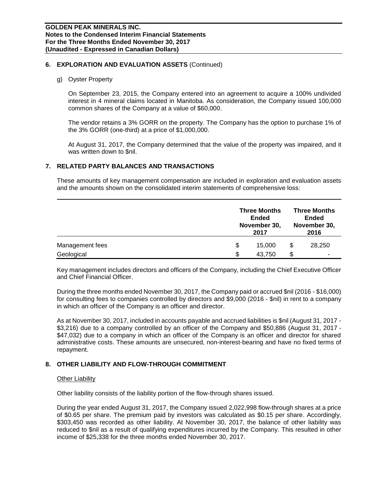#### g) Oyster Property

On September 23, 2015, the Company entered into an agreement to acquire a 100% undivided interest in 4 mineral claims located in Manitoba. As consideration, the Company issued 100,000 common shares of the Company at a value of \$60,000.

The vendor retains a 3% GORR on the property. The Company has the option to purchase 1% of the 3% GORR (one-third) at a price of \$1,000,000.

At August 31, 2017, the Company determined that the value of the property was impaired, and it was written down to \$nil.

#### **7. RELATED PARTY BALANCES AND TRANSACTIONS**

These amounts of key management compensation are included in exploration and evaluation assets and the amounts shown on the consolidated interim statements of comprehensive loss:

|                 | <b>Three Months</b><br><b>Ended</b><br>November 30,<br>2017 |     |        |
|-----------------|-------------------------------------------------------------|-----|--------|
| Management fees | \$<br>15.000                                                | \$  | 28,250 |
| Geological      | \$<br>43,750                                                | \$. | ۰      |

Key management includes directors and officers of the Company, including the Chief Executive Officer and Chief Financial Officer.

During the three months ended November 30, 2017, the Company paid or accrued \$nil (2016 - \$16,000) for consulting fees to companies controlled by directors and \$9,000 (2016 - \$nil) in rent to a company in which an officer of the Company is an officer and director.

As at November 30, 2017, included in accounts payable and accrued liabilities is \$nil (August 31, 2017 - \$3,216) due to a company controlled by an officer of the Company and \$50,886 (August 31, 2017 - \$47,032) due to a company in which an officer of the Company is an officer and director for shared administrative costs. These amounts are unsecured, non-interest-bearing and have no fixed terms of repayment.

### **8. OTHER LIABILITY AND FLOW-THROUGH COMMITMENT**

#### Other Liability

Other liability consists of the liability portion of the flow-through shares issued.

During the year ended August 31, 2017, the Company issued 2,022,998 flow-through shares at a price of \$0.65 per share. The premium paid by investors was calculated as \$0.15 per share. Accordingly, \$303,450 was recorded as other liability. At November 30, 2017, the balance of other liability was reduced to \$nil as a result of qualifying expenditures incurred by the Company. This resulted in other income of \$25,338 for the three months ended November 30, 2017.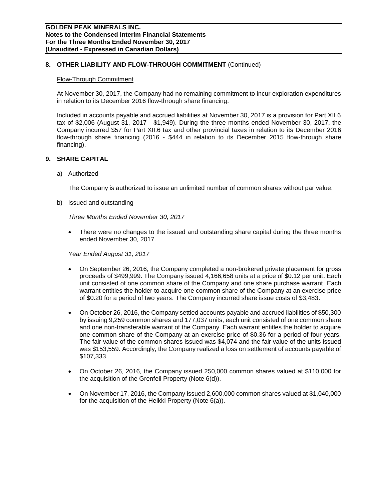# **8. OTHER LIABILITY AND FLOW-THROUGH COMMITMENT** (Continued)

#### Flow-Through Commitment

At November 30, 2017, the Company had no remaining commitment to incur exploration expenditures in relation to its December 2016 flow-through share financing.

Included in accounts payable and accrued liabilities at November 30, 2017 is a provision for Part XII.6 tax of \$2,006 (August 31, 2017 - \$1,949). During the three months ended November 30, 2017, the Company incurred \$57 for Part XII.6 tax and other provincial taxes in relation to its December 2016 flow-through share financing (2016 - \$444 in relation to its December 2015 flow-through share financing).

#### **9. SHARE CAPITAL**

a) Authorized

The Company is authorized to issue an unlimited number of common shares without par value.

b) Issued and outstanding

#### *Three Months Ended November 30, 2017*

• There were no changes to the issued and outstanding share capital during the three months ended November 30, 2017.

#### *Year Ended August 31, 2017*

- On September 26, 2016, the Company completed a non-brokered private placement for gross proceeds of \$499,999. The Company issued 4,166,658 units at a price of \$0.12 per unit. Each unit consisted of one common share of the Company and one share purchase warrant. Each warrant entitles the holder to acquire one common share of the Company at an exercise price of \$0.20 for a period of two years. The Company incurred share issue costs of \$3,483.
- On October 26, 2016, the Company settled accounts payable and accrued liabilities of \$50,300 by issuing 9,259 common shares and 177,037 units, each unit consisted of one common share and one non-transferable warrant of the Company. Each warrant entitles the holder to acquire one common share of the Company at an exercise price of \$0.36 for a period of four years. The fair value of the common shares issued was \$4,074 and the fair value of the units issued was \$153,559. Accordingly, the Company realized a loss on settlement of accounts payable of \$107,333.
- On October 26, 2016, the Company issued 250,000 common shares valued at \$110,000 for the acquisition of the Grenfell Property (Note 6(d)).
- On November 17, 2016, the Company issued 2,600,000 common shares valued at \$1,040,000 for the acquisition of the Heikki Property (Note 6(a)).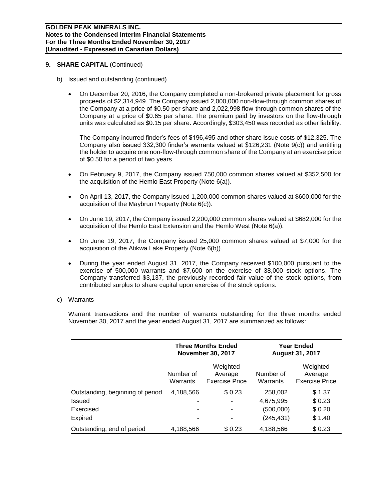#### **9. SHARE CAPITAL** (Continued)

- b) Issued and outstanding (continued)
	- On December 20, 2016, the Company completed a non-brokered private placement for gross proceeds of \$2,314,949. The Company issued 2,000,000 non-flow-through common shares of the Company at a price of \$0.50 per share and 2,022,998 flow-through common shares of the Company at a price of \$0.65 per share. The premium paid by investors on the flow-through units was calculated as \$0.15 per share. Accordingly, \$303,450 was recorded as other liability.

The Company incurred finder's fees of \$196,495 and other share issue costs of \$12,325. The Company also issued 332,300 finder's warrants valued at \$126,231 (Note 9(c)) and entitling the holder to acquire one non-flow-through common share of the Company at an exercise price of \$0.50 for a period of two years.

- On February 9, 2017, the Company issued 750,000 common shares valued at \$352,500 for the acquisition of the Hemlo East Property (Note 6(a)).
- On April 13, 2017, the Company issued 1,200,000 common shares valued at \$600,000 for the acquisition of the Maybrun Property (Note 6(c)).
- On June 19, 2017, the Company issued 2,200,000 common shares valued at \$682,000 for the acquisition of the Hemlo East Extension and the Hemlo West (Note 6(a)).
- On June 19, 2017, the Company issued 25,000 common shares valued at \$7,000 for the acquisition of the Atikwa Lake Property (Note 6(b)).
- During the year ended August 31, 2017, the Company received \$100,000 pursuant to the exercise of 500,000 warrants and \$7,600 on the exercise of 38,000 stock options. The Company transferred \$3,137, the previously recorded fair value of the stock options, from contributed surplus to share capital upon exercise of the stock options.
- c) Warrants

Warrant transactions and the number of warrants outstanding for the three months ended November 30, 2017 and the year ended August 31, 2017 are summarized as follows:

|                                            |                       | <b>Three Months Ended</b><br><b>November 30, 2017</b> | <b>Year Ended</b><br><b>August 31, 2017</b> |                                              |  |  |
|--------------------------------------------|-----------------------|-------------------------------------------------------|---------------------------------------------|----------------------------------------------|--|--|
|                                            | Number of<br>Warrants | Weighted<br>Average<br><b>Exercise Price</b>          | Number of<br>Warrants                       | Weighted<br>Average<br><b>Exercise Price</b> |  |  |
| Outstanding, beginning of period<br>Issued | 4,188,566             | \$0.23<br>۰                                           | 258,002<br>4,675,995                        | \$1.37<br>\$0.23                             |  |  |
| Exercised<br>Expired                       |                       | ۰                                                     | (500,000)<br>(245,431)                      | \$0.20<br>\$1.40                             |  |  |
| Outstanding, end of period                 | 4,188,566             | \$0.23                                                | 4,188,566                                   | \$0.23                                       |  |  |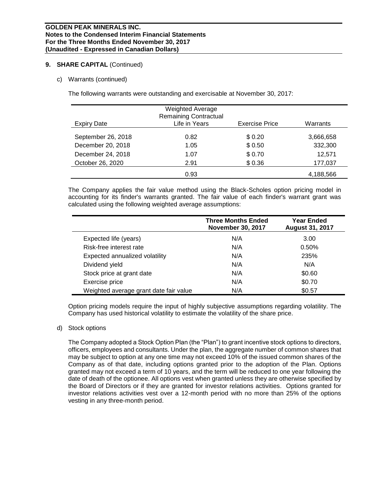# **9. SHARE CAPITAL** (Continued)

#### c) Warrants (continued)

The following warrants were outstanding and exercisable at November 30, 2017:

| Expiry Date        | <b>Weighted Average</b><br><b>Remaining Contractual</b><br>Life in Years | <b>Exercise Price</b> | Warrants  |
|--------------------|--------------------------------------------------------------------------|-----------------------|-----------|
| September 26, 2018 | 0.82                                                                     | \$0.20                | 3.666.658 |
| December 20, 2018  | 1.05                                                                     | \$ 0.50               | 332,300   |
| December 24, 2018  | 1.07                                                                     | \$0.70                | 12,571    |
| October 26, 2020   | 2.91                                                                     | \$0.36                | 177,037   |
|                    | 0.93                                                                     |                       | 4,188,566 |

The Company applies the fair value method using the Black-Scholes option pricing model in accounting for its finder's warrants granted. The fair value of each finder's warrant grant was calculated using the following weighted average assumptions:

|                                        | <b>Three Months Ended</b><br><b>November 30, 2017</b> | <b>Year Ended</b><br><b>August 31, 2017</b> |
|----------------------------------------|-------------------------------------------------------|---------------------------------------------|
| Expected life (years)                  | N/A                                                   | 3.00                                        |
| Risk-free interest rate                | N/A                                                   | 0.50%                                       |
| Expected annualized volatility         | N/A                                                   | 235%                                        |
| Dividend yield                         | N/A                                                   | N/A                                         |
| Stock price at grant date              | N/A                                                   | \$0.60                                      |
| Exercise price                         | N/A                                                   | \$0.70                                      |
| Weighted average grant date fair value | N/A                                                   | \$0.57                                      |

Option pricing models require the input of highly subjective assumptions regarding volatility. The Company has used historical volatility to estimate the volatility of the share price.

#### d) Stock options

The Company adopted a Stock Option Plan (the "Plan") to grant incentive stock options to directors, officers, employees and consultants. Under the plan, the aggregate number of common shares that may be subject to option at any one time may not exceed 10% of the issued common shares of the Company as of that date, including options granted prior to the adoption of the Plan. Options granted may not exceed a term of 10 years, and the term will be reduced to one year following the date of death of the optionee. All options vest when granted unless they are otherwise specified by the Board of Directors or if they are granted for investor relations activities. Options granted for investor relations activities vest over a 12-month period with no more than 25% of the options vesting in any three-month period.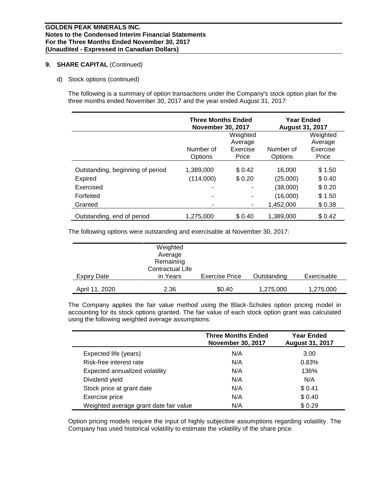# **9. SHARE CAPITAL** (Continued)

d) Stock options (continued)

The following is a summary of option transactions under the Company's stock option plan for the three months ended November 30, 2017 and the year ended August 31, 2017:

|                                  | Three Months Ended<br><b>November 30, 2017</b> |          | <b>Year Ended</b><br><b>August 31, 2017</b> |          |  |
|----------------------------------|------------------------------------------------|----------|---------------------------------------------|----------|--|
|                                  |                                                | Weighted |                                             | Weighted |  |
|                                  |                                                | Average  |                                             | Average  |  |
|                                  | Number of                                      | Exercise | Number of                                   | Exercise |  |
|                                  | Options                                        | Price    | Options                                     | Price    |  |
| Outstanding, beginning of period | 1,389,000                                      | \$0.42   | 16,000                                      | \$1.50   |  |
| <b>Expired</b>                   | (114,000)                                      | \$0.20   | (25,000)                                    | \$0.40   |  |
| Exercised                        |                                                |          | (38,000)                                    | \$0.20   |  |
| Forfeited                        |                                                | ۰        | (16,000)                                    | \$1.50   |  |
| Granted                          |                                                | ۰        | 1.452.000                                   | \$0.38   |  |
| Outstanding, end of period       | 1,275,000                                      | \$0.40   | 1,389,000                                   | \$0.42   |  |

The following options were outstanding and exercisable at November 30, 2017:

| Expiry Date    | Weighted<br>Average<br>Remaining<br>Contractual Life<br>in Years | <b>Exercise Price</b> | Outstanding | Exercisable |
|----------------|------------------------------------------------------------------|-----------------------|-------------|-------------|
|                |                                                                  |                       |             |             |
| April 11, 2020 | 2.36                                                             | \$0.40                | 1,275,000   | 1,275,000   |

The Company applies the fair value method using the Black-Scholes option pricing model in accounting for its stock options granted. The fair value of each stock option grant was calculated using the following weighted average assumptions:

|                                        | <b>Three Months Ended</b><br><b>November 30, 2017</b> | <b>Year Ended</b><br><b>August 31, 2017</b> |
|----------------------------------------|-------------------------------------------------------|---------------------------------------------|
| Expected life (years)                  | N/A                                                   | 3.00                                        |
| Risk-free interest rate                | N/A                                                   | 0.83%                                       |
| Expected annualized volatility         | N/A                                                   | 136%                                        |
| Dividend yield                         | N/A                                                   | N/A                                         |
| Stock price at grant date              | N/A                                                   | \$0.41                                      |
| Exercise price                         | N/A                                                   | \$0.40                                      |
| Weighted average grant date fair value | N/A                                                   | \$0.29                                      |

Option pricing models require the input of highly subjective assumptions regarding volatility. The Company has used historical volatility to estimate the volatility of the share price.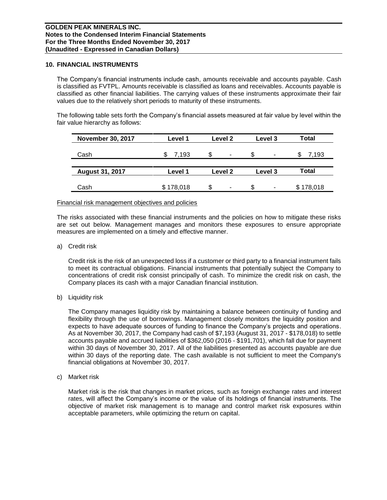#### **10. FINANCIAL INSTRUMENTS**

The Company's financial instruments include cash, amounts receivable and accounts payable. Cash is classified as FVTPL. Amounts receivable is classified as loans and receivables. Accounts payable is classified as other financial liabilities. The carrying values of these instruments approximate their fair values due to the relatively short periods to maturity of these instruments.

The following table sets forth the Company's financial assets measured at fair value by level within the fair value hierarchy as follows:

| <b>November 30, 2017</b> | Level 1   | Level 2 | Level 3 | <b>Total</b> |
|--------------------------|-----------|---------|---------|--------------|
| Cash                     | 7.193     | S<br>۰  | \$<br>٠ | 7.193        |
| <b>August 31, 2017</b>   | Level 1   | Level 2 | Level 3 | <b>Total</b> |
| Cash                     | \$178,018 | \$<br>٠ | \$<br>۰ | \$178,018    |

#### Financial risk management objectives and policies

The risks associated with these financial instruments and the policies on how to mitigate these risks are set out below. Management manages and monitors these exposures to ensure appropriate measures are implemented on a timely and effective manner.

a) Credit risk

Credit risk is the risk of an unexpected loss if a customer or third party to a financial instrument fails to meet its contractual obligations. Financial instruments that potentially subject the Company to concentrations of credit risk consist principally of cash. To minimize the credit risk on cash, the Company places its cash with a major Canadian financial institution.

b) Liquidity risk

The Company manages liquidity risk by maintaining a balance between continuity of funding and flexibility through the use of borrowings. Management closely monitors the liquidity position and expects to have adequate sources of funding to finance the Company's projects and operations. As at November 30, 2017, the Company had cash of \$7,193 (August 31, 2017 - \$178,018) to settle accounts payable and accrued liabilities of \$362,050 (2016 - \$191,701), which fall due for payment within 30 days of November 30, 2017. All of the liabilities presented as accounts payable are due within 30 days of the reporting date. The cash available is not sufficient to meet the Company's financial obligations at November 30, 2017.

c) Market risk

Market risk is the risk that changes in market prices, such as foreign exchange rates and interest rates, will affect the Company's income or the value of its holdings of financial instruments. The objective of market risk management is to manage and control market risk exposures within acceptable parameters, while optimizing the return on capital.